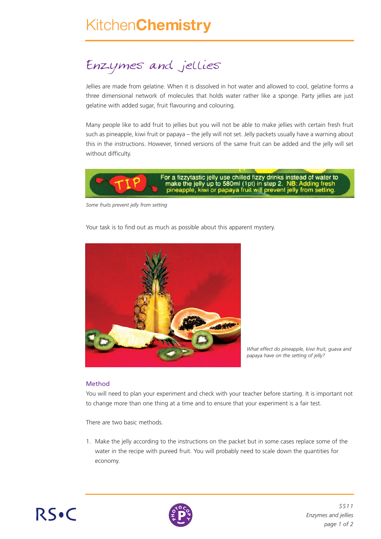# Kitchen**Chemistry**

## Enzymes and jellies

Jellies are made from gelatine. When it is dissolved in hot water and allowed to cool, gelatine forms a three dimensional network of molecules that holds water rather like a sponge. Party jellies are just gelatine with added sugar, fruit flavouring and colouring.

Many people like to add fruit to jellies but you will not be able to make jellies with certain fresh fruit such as pineapple, kiwi fruit or papaya – the jelly will not set. Jelly packets usually have a warning about this in the instructions. However, tinned versions of the same fruit can be added and the jelly will set without difficulty.



*Some fruits prevent jelly from setting*

Your task is to find out as much as possible about this apparent mystery.



*What effect do pineapple, kiwi fruit, guava and papaya have on the setting of jelly?*

#### Method

You will need to plan your experiment and check with your teacher before starting. It is important not to change more than one thing at a time and to ensure that your experiment is a fair test.

There are two basic methods.

1. Make the jelly according to the instructions on the packet but in some cases replace some of the water in the recipe with pureed fruit. You will probably need to scale down the quantities for economy.